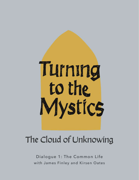

## The Cloud of Unknowing

Dialogue 1: The Common Life with James Finley and Kirsen Oates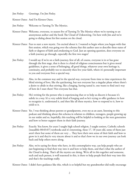Jim Finley: Greetings. I'm Jim Finley.

Kirsten Oates: And I'm Kirsten Oates.

Jim Finley: Welcome to Turning To The Mystics.

- Kirsten Oates: Welcome, everyone, to season five of Turning To The Mystics where we're turning to an anonymous author and the book The Cloud of Unknowing. I'm here with Jim and we're going to dialog about his first session on the cloud.
- Kirsten Oates: Fun to start a new mystic. I'm excited about it. I wanted to begin where you began with that first session, which was going over the schema that this author uses to describe these states of faith or degrees of faith and awakening to God. Just an opening question, does everyone on a faith journey go through, especially the first two stages?
- Jim Finley: I would say if we're on a faith journey, first of all, of course, everyone is in or has gone through the first stage, that is there is a kind of religious consciousness but it gives moral guidelines, it gives a sense of belonging, all good things, whatever your own heritage is, continuity, and probably too to sincerely then live your faith, where it's personally important to you and everyone lives a special way.
- Jim Finley: Also, in the common way and in the special way, everyone from time to time experiences the blind stirring of love, like the quickening, but not everyone has a singular phase where there's a desire to abide in that stirring, like a longing, having tasted it, one wants to find one's way of how do I stare there? Not everyone has that.
- Jim Finley: He's writing for the person who is experiencing that or to help us discern it because it's subtle in a way. It's a very subtle kind of longing and so he's trying to offer guidance in how to recognize it, understand it, and then like all these mystics, how to respond to it, how to yield to it.
- Kirsten Oates: Yes. I was thinking about parents or grandparents, even me as an aunt, listening to this podcast and thinking about this schema in relation to children, teenagers, people growing up in our midst and so, hopefully, this teaching will be helpful to looking at the next generation and how to better support them in their faith journey.
- Jim Finley: Exactly. You know, for years I taught high school religion, I taught seniors, Catholic schools [inaudible 00:03:07] textbooks and it's interesting, these 17, 18 years old, some of them just aren't there but some of them are very ... They have their own sense of their faith and how to grow in it and they're very sincere about it and so that's how we in our own journey can look back and help others move along.
- Jim Finley: Also, we're saying for those who have, in this contemplative way, can help people who are just beginning to find their way into it and how to help them, and that's what the author of the Cloud is doing. That's all the mystics are doing. We're all in this together and someone, such and such person, is well seasoned in this, is there to help people find their way into this and that's the teachings really.

Kirsten Oates: I didn't have guidance like this, which is so helpful but my grandmother did really encourage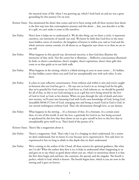the mystical sense of life, when I was growing up, which I look back on and see was a great grounding for this journey I'm on now.

- Kirsten Oates: You mentioned the desire that comes and we've been seeing with all these mystics how desire is the first step into this contemplative journey and this desire ... Jim, you describe it as like it's a gift, we can't make it come to life ourselves.
- Jim Finley: Here's how it helps me to understand it. We do this thing, say we draw a circle, it represents ourselves, our interiority of ourself, our soul. We know by faith that God lives in the inner most hidden center of ourselves, the kingdom of heaven is within you, and so God and the whole universe cannot contain, it's all about us, as Augustine says closer to us than we are to our self.
- Jim Finley: What happens in this special way, devotional sincerity, is that God does illumine the interiority of that circle. Not the center but it illumines ... Reflective consciousness illumined by faith, so there's consolations, there's insights, there's aspirations, there's these gifts that come to us that guide us in our faith walk.
- Jim Finley: What happens in the stirring, which is a blind stirring in your in most center ... It's hidden. It's that hidden center where you and God are unexplainably one with each other. It stirs there.

Jim Finley: It echos in your reflective consciousness. From without and within it stirs and you're caught in-between this not God has got it ... He says not as God is in us, loving God for his gifts, that we're grateful for God creates us, God loves us, God redeems us, we should be grateful for all of that, so this is not God stirring in us as a gift but we're being stirred by the love of God in God, as God, as her destiny. When we pass through the vale of death and enter into eternity, we'll enter into knowing God with God's own knowledge of God, loving God, [inaudible 00:06:37] love of God, emerging into and being as much God as God is God, in our eternal nothingness without God. That's the divinization through love, as our destiny.

Jim Finley: What happens in the stirring ... It's a foretaste of that. It's a foretaste. In a certain sense then, it's not of this world. It isn't the love, a gratitude for God in us, but being accessed or quickened by this love that then draws us out to give ourself in love to this love that so unexplainably gives itself to us. That's kind of the poetics of it.

Kirsten Oates: There's like a magnetism about it.

- Jim Finley: There's a magnetism. Yeah. That's why I say it's a longing we don't understand, for a union we don't understand, but we know it's true because we've experienced it. Not only have we experienced it but we long to abide in this depth that we don't understand.
- Jim Finley: We're coming to the author of the Cloud, all these mystics for spiritual guidance, like what am I to do? What the author does first is try to help us understand what's happening to us and goes on to say what's so good about where you are, what's so mysterious about it is that the first three begin and end here, the common, the special, and the singular. The fourth is perfect, which is God, which is heaven. The fourth begins here, which is you are now in the stirring and it goes on forever.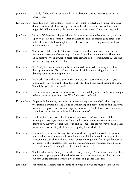| Jim Finley: | Literally it's already kind of celestial. You're already in this heavenly state in a very<br>obscure way.                                                                                                                                                                                                                                                                                                                             |
|-------------|---------------------------------------------------------------------------------------------------------------------------------------------------------------------------------------------------------------------------------------------------------------------------------------------------------------------------------------------------------------------------------------------------------------------------------------|
|             | Kirsten Oates: Beautiful. This sense of desire, you're saying it might not feel like a human emotional<br>desire, that we might have for a partner or to be with someone that we love, so it<br>might feel different to that, like an angst or an urgency even. Is that the case, Jim?                                                                                                                                                |
| Jim Finley: | Yes, it is. With some analogies I think. Some examples would be it isn't just, say, that<br>a person decides to become a teacher and learn the skills of teaching and teach. But<br>rather they feel called to completely give themselves over, to being transformed as a<br>teacher to teach. Like a calling.                                                                                                                        |
| Jim Finley: | They can't explain that. See? Someone devoted to healing or an artist or a poet or<br>solitude, it's a stirring of something  It doesn't overflow into emotions. There's like<br>an imperative of your awakened heart that's drawing you to consummate this longing<br>by surrendering to it. It's like that.                                                                                                                         |
| Jim Finley: | That's why it's hard to talk about because it's so delicate. When you try to look at it<br>directly, it goes away. You can't see it but it's like right there stirring within you, by<br>drawing you forward unexplainably.                                                                                                                                                                                                           |
| Jim Finley: | The world that we live in is a world that at every other turn drowns it out, it gets<br>overtaken by this, by this, by this. That's why it's like a flame that flickers in the wind.<br>There it is again, there is it again.                                                                                                                                                                                                         |
| Jim Finley: | How can we steady ourself to stay in receptive vulnerability to that desire long enough<br>to let it have its way with us? See? What's the artistry of that?                                                                                                                                                                                                                                                                          |
|             | Kirsten Oates: People with that desire, that have this innermost experience of God, when they hear<br>words from a mystic like The Cloud of Unknowing and people need to find their own<br>teacher but it gives them hope, it rings true, it offers  You feel like this is something<br>I could follow. Is that part of how the desire manifests?                                                                                     |
| Jim Finley: | Yes. I think two aspects of this I think are important. Let's say that we  Like<br>listening to these mystics with the Cloud and it bears witness the very fact we're<br>drawn to it, the very fact it speaks to us, and in some sense, it's for everybody. It is like<br>water falls down, seeking the lowest place, giving life to all that lives.                                                                                  |
| Jim Finley: | You could be in the special way, like devotional sincerity and you could be drawn to<br>practice this way of prayer and it would grace your life but it would grace your life as<br>someone in a special way. That is to say, you say I'm so grateful for this gift because of<br>my fidelity to this practice, I really am more centered, more grounded, more present<br>The virtues of it and the gifts, which is God's grace. See? |
| Jim Finley: | The Cloud is saying, "Yes, yes, yes. All of that, yes, yes, yes." But it has come to such a<br>point, like a tipping point where the deepest thing isn't the graces that flow into you,<br>but how you're being so drawn to give yourself and go into God. See?                                                                                                                                                                       |
| Jim Finley: | For someone  Because it's so subtle, then when you read the mystics, you can tell                                                                                                                                                                                                                                                                                                                                                     |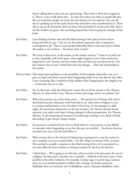they're talking about what you are experiencing. That's what I think the recognition is. There's a way to talk about this ... It's also clear when you listen to people like this, like you read these people out loud, this isn't hearsay. It's not opinion. You can tell they're speaking out of the truth of how they themselves were transformed in it. That's why it says in the foreword, there are those who presently live in the active life, that is the life of effort, by grace, who are being prepared by God to grasp the message of this book.

- Jim Finley: I am thinking of those who feel this blind stirring of the spirit in their inmost being and then he says, "I do not say they always experience this as experience contemplatives do." That is, some people habitually abide in this state and we think this author is one of them ... You know what I mean?
- Jim Finley: We come to this secret, to the master, to the teacher, and say, "I want to sit with you so that, hopefully, with God's grace, what might happen to me is what clearly has happened to you" because you bear witness that my heart has not deceived me. You bear witness that it's real. I think that's how the lineage ... That's the relationship to the teacher.
- Kirsten Oates: This mystic gives guidance on the possibility of this singular and perfect way, so it gives us hope and clarity around what's happening inside of us, but then he also offers a way of praying, like a method to help stabilize what's happening in the singular way ... Is that how you see it, Jim?
- Jim Finley: Yes. In this sense, with this distinction, notice that in all the mystics so far, Thomas Merton, St. John of the Cross, Theresa of Avila and Guigo, there's no method. See?
- Jim Finley: What these mystics say is that when you're ... This special way of living a life, that is devotional sincerity and prayer with God and so on, what starts to happen to you is a certain transformative event. For John of the Cross, it's the passage to a dark night, this mysterious deprivation or the loss of solace. For Theresa and the fourth mansion, you realize your heart is being enlarged to divine proportions. For Thomas Merton, it's the deepening of moments of awakening, turning to see a flock of birds descending. It gets deeper, deeper, deeper.
- Jim Finley: You practice it and then if you want to think about it, your practice is your fidelity to surrender what's happening to you but they give no method ... You know, however you find your way to do this and follow it.
- Jim Finley: What we have here is the Cloud of Unknowing is saying here's a way but notice it's not a method, as it's not contrived like, "Try this. Plug it in and see if the car starts." This method is actually a response to the blind stirring of love. It's concertized in a way that offers the least resistance to being overtaken by this love for this love.
- Jim Finley: I think that's ... We're going to see this later when we look at the Jesus pair, the way of a pilgrim, the Jesus pair is another way, a method ... Method in the same sense. It also parallels in the other traditions. For example, in deep yoga, in sacred yoga, namaste, there are very detailed methods to follow, like a lineage. In Jewish mysticism, Kabbalah, there are methods, see? In Buddhism, zazen, Vajrayāna Buddhism, there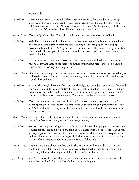are methods.

- Jim Finley: These methods are all the art, what's been learned over time, that's conducive to being stabilized in this, as a response to the grace. Otherwise, it's just the ego thinking, "I'll try this." You know what I mean? "I think I'll see what happens." Nothing wrong with that. It's good to try it. What makes it heartfelt is a response to something.
- Kirsten Oates: That's really helpful. And Guigo also would you say is the same idea as the Cloud?
- Jim Finley: Yeah. He has no method. In other words, the first three steps of the ladder, lectio meditation and prayer, he said but then what happens, the prayer is the longing and the longing becomes unbearable. See? You're powerless to consummate it. Then you're crying out to God. Then he said God cut you off mid-sentence and crosses over. See? Then ecstatic moment takes it like this.
- Jim Finley: In that sense then, these other mystics, it's then how to be faithful to living that way? As it follows its rhythm through the years. The author of the Cloud here is more of a tradition, this "method", this "way" that he proposes.
- Kirsten Oates: Which we see as a response to what's happening to us and an openness to God overtaking us with God's presence. It's not a method that has a guaranteed outcome or, "If I do this, I get God all the way home".
- Jim Finley: Exactly. There might be some of that around the edges but deep down you realize it's around the edges. Right in the center. Notice, by the way, that this method is very subtle. It's like a non-method method. He said what you do is you sit in a quiet place and you interior-ally turn to that place that's stirred with you, God within you deeper than you can see.
- Jim Finley: Then your intention is to take that place that God is stirring within you and in a selfdonating act, give yourself to the love that stirred your heart, by giving yourself to that love, see? And so what he's talking about then is that subtle stance and so the method is how to stabilize in that stance.
- Kirsten Oates: In chapter three, which you focused on, the author is very encouraging about trying the method. It feels an encouraging word to us to give it a try.
- Jim Finley: Yes. Another thing too, he's going to say this in later chapters, he's going to say not everyone is suited for this. He said if it doesn't, don't do it. What matters is holiness. He said but you are to give yourself to it and see if it resonates, because for all of its miraculous qualities, he said for all of this, it's the easiest thing of all. If this flows in the flow of how grace is calling you, there's a naturalness about it. It's un-contrived. It's like that.
- Kirsten Oates: I wanted to ask you about that, because he also says, or I think you said as well, that it's challenging. How long would you say you need to try something before you know if it's resonating, if it's just challenging and difficult versus it's not for me.
- Jim Finley: Yes. Well, first of all, let's clarify. This will come up later in the next session when we talk about the two clouds. Let's say, first of all, why is it challenging?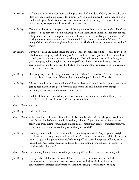- Jim Finley: Let's say this, a key to the author's teachings is that all of our ideas of God, even revealed true ideas of God, are all finite ideas of the infinity of God and illumined by faith, they give us a real knowledge of God. To hear that God loves us is an idea, through the power of the spirit in our hearts, we experientially know that it's true. See?
- Jim Finley: There is this benefit in this special way of these grace ideas but now in the touch ... Here's an example, in the next session I'll be sharing this with them. An example I use for this, for me, it helps me to see this, is imagine somebody all alone in the desert dying of thirst and they're writing the word water over and over in the sand. They're onto a great idea. When you're dying of thirst, there's nothing like a drink of water. The blind stirring of love is the drink of water.
- Jim Finley: It's why is it dark? It's dark because the you ... Those thoughts are still there. See? You've been called to something beyond all thoughts. See? Therefore, because you're still accustomed to thought, we're very bound up with our thoughts. That self that's accustomed to thoughts, good thoughts, noble thoughts, the thinking self and all that it thinks, because we're so accustomed to it, at first, it's very hard. It's a very strange thing. You have to sit long enough for it to catch hold. See?
- Jim Finley: How long do you sit? Let's say, you try it and go, "Wow. That was hard." You try it again, four days later, it's still hard. When is this going to happen? I hope by Thursday.
- Jim Finley: I think it goes like this, first of all, there's like this beginner's mind. At first, you realize you're getting acclimated. It can go on for weeks and weeks. It's still difficult. Even though, it's difficult, you can sense in it a certain resonance. See?
- Jim Finley: It's difficult but there's something here that's kind of quietly shining in the difficulty. See? I feel called to do it. See? I think that's the discerning thing.
- Kirsten Oates: Yes. Yeah.
- Jim Finley: If that makes sense.
- Kirsten Oates: Yeah. That does make sense. Is it a little bit like exercise when afterwards, you know it was good for you but before you might be feeling, "I know it's good for me but I'm a bit tired today" and then during, you might be more in discomfort than comfort but afterwards, you feel a resonance in your whole body with what you just did?
- Jim Finley: That's a good example. Let's say, you've been exercising for a while. So you go out straight for a long run or a long distance whatever it is. It's a certain point where it's difficult and you want it to get to that point where you're burning off, but even though, it's difficult, it's not just difficult. See, there's meaning in it. See, there's meaning in the difficulty because it's a transformative difficulty. See?

Kirsten Oates: There's a way it's a loving act of taking care of myself and I feel that response in myself.

Jim Finley: Exactly. I also think recovery from addiction or recovery from trauma and radical commitment to a creative process that won't quite break through, I think this is contemplative character transformation, that in the struggle, we realize we're being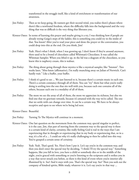|                           | transformed in the struggle itself, like a kind of enrichment or transformation of our<br>awareness.                                                                                                                                                                                                                                                           |
|---------------------------|----------------------------------------------------------------------------------------------------------------------------------------------------------------------------------------------------------------------------------------------------------------------------------------------------------------------------------------------------------------|
| Jim Finley:               | Then as we keep going, lik runners get their second wind, you realize there's phases where<br>there's like a newfound freedom, where the difficulty falls into the background and the very<br>thing that was so difficult is the very thing that liberates you.                                                                                                |
|                           | Kirsten Oates: In terms of learning this prayer and maybe giving it a try, I was thinking how if people are<br>already trying Guigo's steps of the ladder, this is something you could try in the midst of<br>that. You know? After you've read your piece and done the prayer or the conversation, you<br>could drop into this at the end. Do you think, Jim? |
| Jim Finley:               | Yeah. Here's what I think, when I was growing up, I don't know if they're around anymore,<br>there used to be a brand of chocolates called Whitman's Chocolates. It was called the<br>Whitman Sampler. When you lifted it up, in the lid was a diagram of the chocolates, so you<br>knew this is raspberry cream, this is walnut.                              |
| Jim Finley:               | The thing about going through these mystics is like a mystical sampler, like "hmmm". Two<br>weeks later, "Mm-hmm (affirmative), I'm really munching away on Julian of Norwich. Can't<br>hardly wait." Like a buffet, your buffet.                                                                                                                              |
| Jim Finley:               | I think it's good to see  We just listened to it, because there's a certain music in each one.<br>There's a certain constancy through all of them. You can "try" them but what you're really<br>doing is settling into the one that sits well with you, because each one contains all of the<br>others, because each one is a modality of all of them.         |
| Jim Finley:               | The more we see the array of all of them, the more we appreciate its richness, but also we<br>find one that we gravitate towards, because it's attuned with the way we're called. The one<br>that we settle with can change over time. It can be a certain way. We have to be always<br>receptive and open to see where we're being led next.                  |
| Kirsten Oates: Beautiful. |                                                                                                                                                                                                                                                                                                                                                                |
| Jim Finley:               | Turning To The Mystics will continue in a moment.                                                                                                                                                                                                                                                                                                              |
|                           | Kirsten Oates: One last question on the movement from the common way, special singular to perfect,<br>is it the case, Jim, that part of moving from the common way to the special way is there<br>is a certain kind of clarity, certainty, like really feeling God is real in the ways that I am                                                               |

- experiencing that in thought or experiencing that in my body or experiencing that, so in a way, it's a bit of a ... I could see why it's really challenging to then be called into this way. You've grasped a certain sense of certainty.
- Jim Finley: Yeah. Yeah. That's good. Yes. Here's how I put it. Let's say you're in the common way, and then you don't enter the special way by deciding, "I think I'll try the special way." Something happens, like you fall in love, you have a child or somebody dies or in the middle of the night, you're graced with something or you're listening to the scriptures and it strikes you in a way that never struck you before, so there is this kind of event where you're interior-ally illumined by it. See? And it stays with you. That's the special way. See? Then you seek out the company of kindred spirits, Bible study, whatever it is. Let's say you're in that way ...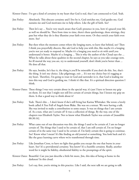Kirsten Oates: I've got a kind of certainty in my heart that God is real, that I am connected to God. Yeah.

- Jim Finley: Absolutely. This obscure certainty and I live by it, God enriches me, God guides me, God sustains me and God motivates me to help others. Like the gift of faith. See?
- Jim Finley: Then let's say ... You're very much aware that God's presence in you, how it's graced your life, as well we should be. Then from time to time, there's these quickenings, these stirrings, they pass but what they do is they illumine your faith even more. Or they enrich your faith even more. See?
- Jim Finley: But then when the moment comes where the longing starts, to leave that behind, see? Then I think you prayerfully discern, like ask God to help you with this, like maybe it's a longing you're not yet ready to respond to. Maybe it's a longing you need to sit with until you understand it better. Maybe it's a longing ... This is why the author of the Cloud says the ... When he talks about these qualities in the second chapter, he says as you take courage now, for ill mortal the way you are, try to understand yourself, don't think you're better than ... He does all that.
- Jim Finley: He says, besides, let's face it, the thing is you'll be miserable if you don't do this. See, that's the thing. It isn't my choice. Like pilgrimage, exit ... It's not my choice but it's tugging at my heart. Therefore, I'm going to trust in God and surrender to it, that God is leading me into this way and God is guiding me. I think it's like that. It's a spiritual direction question I think.
- Kirsten Oates: These things I was very certain about in the special way, it's just I have to loosen my grip on them. It's not that I might not still live certain of certain things, but I loosen my grip on them. Is that a good way to think about it?
- Jim Finley: Yeah. There's this ... I don't know if she's still living but Karina Whittaker. She wrote a lovely book called A Tree Full of Angels from Blake. She was on a retreat. We were having a talk. She was invited to make a contribution to some essays. It was on things that I am certain of. As a nun, what am I certain of? It was a collection of things. By the way, one of the chapters was Elizabeth Taylor. Not to know what Elizabeth Taylor was certain of [inaudible 00:30:16].
- Jim Finley: What came out of our discussion was this, the things I used to be certain of, I am no longer certain of. The things that I used to be certain of, that I am still certain of, I'm no longer certain of in the same way I used to be certain of. I'm fairly certain this is going to continue. See? Know what I mean? It's like finding an old journal or something. You look back and it's like the grace learning curve where we're transformed through time.
- Jim Finley: Like Jonathan Cross, to have no light that guides you except the one that burns in your heart. See? It's a providential certainty. You know? It's a humble certainty. Really, another word for it might be fidelity, obediential fidelity to the promptings of the spirit.
- Kirsten Oates: Beautiful. Can you just describe a little bit more, Jim, this idea of being at home in the darkness? In this cloud.
- Jim Finley: Let's say, first, you're sitting in this practice. Like I said, the next talk we are going to talk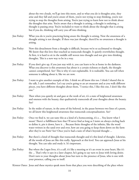about the two clouds, we'll go into this more, and so what you do is thoughts arise, they arise and they fall and you're aware of them, you're not trying to stop thinking, you're not trying to stop the thoughts from arising. You're just trying to learn how not to think about the thoughts that arise. You're aware that a thought is arising, a thought is enduring, a thought is passing away. You're included to want to think about the thought that is arising but if you do, thinking will carry you off into thinking.

- Jim Finley: What you do is you're practicing being aware the thought is arising. Now the awareness of a thought arising is not thought. If there was just thought, there'd be no awareness a thought is arising.
- Jim Finley: Now this detachment from a thought is difficult, because we're so acclimated to thought. We know that this love that touched us transcends thought. It quietly overwhelms thought. At first, it is hard to sit in the middle still woven into thought and not give into thinking thoughts. This is a new way to be in a way.
- Jim Finley: If you don't give up, if you just stay with it, you can learn to be at home in the darkness. What you discover is this awareness has about it a certain richness or depth, the thought cannot comprehend. See? This is why it's not explainable. It is realizable. You can tell when someone is talking about it, like we are now.
- Jim Finley: I want to give another example of this. I think we all know this too. I think I shared this in the talk, I can't remember. Let's say you're going to an art museum and as you walk different pieces, you have different thoughts about them, "I notice this, I like this one, I don't like this one."
- Jim Finley: Then when you quietly sit and gaze at the work of art, it's a state of heightened awareness and oneness with the beauty, that qualitatively transcends all your thoughts about the beauty. See?
- Jim Finley: In the midst of nature, in the arms of the beloved, in the pause between two lines of a poem, we all know this heightened awareness that transcends conceptualization. See?
- Jim Finley: Once we find it, we can taste this as a kind of a homecoming, it's a ... You know what I mean? There's a fulfillment here that I'll never find as long as I insist on always circling back to define it, pin it down, have it ... Because finite thoughts of the infinite, like the word water written in the sand over and over, how are you going to keep them down on the farm after they've see Paris? See? Once you've had a taste of what's beyond thought ...
- Jim Finley: But there's a kind of thought that transcends thought and it's this kind of thought. Likewise, all the words of Jesus are like this really. Approach at this level. You can approach Jesus at his thought. You can take and study it. It's important.
- Jim Finley: But where the Logos lives, it's a call, it's like a meeting or it's an event in your heart, like it's the ... That's why it says in a later chapter, he's going to say turn to Jesus with loving desire. Don't turn to your thoughts about Jesus but turn to the presence of Jesus, who is one with your presence, calling you to itself.

Kirsten Oates: Jesus and these mystics speak more from that place you were describing of the place where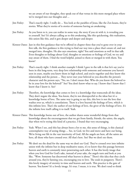we are aware of our thoughts, they speak out of that versus in this more merged place where we've merged into our thoughts and ...

- Jim Finley: That's exactly right. I really do ... You look at the parables of Jesus, like the Zen koans, they're stories. What they're stories of is stories of someone having an awakening.
- Jim Finley: As you listen to it, you can realize in some way, the story if you sit with it, is revealing you to yourself. See? It's always calling us to this awakening, like this quickening, this realization, this union like this, and it gets deeper and deeper and deeper.
- Kirsten Oates: Just in this first guidance that we're offered in chapter three that you've gone over in your first talk, the first guidance is this trying to find our way into a place that's aware of, and not merged into, thoughts. He also says emotions, right? You said emotions as well in that talk. Even thoughts or feelings about God, thoughts or emotions or feelings of God, we try and stay aware of them. I find the word helpful, joined to them or merged in with them. You know?
- Jim Finley: That's exactly right. I think another example I think I gave in the talk is that let's say you've been in this long-term, very deep love relationship with someone and someone you haven't seen in years, maybe you knew them in high school, and you're together and they know this relationship and the person ... They never met your beloved so you describe the person's character and the person says, "No, no. I don't mean that. Who do you know the beloved to be in your love for the beloved?" See? You don't know what to say. I know that I know that I know that I know it. See?
- Jim Finley: Therefore, the knowledge that comes to love is a knowledge that transcends all the ideas. They don't negate the ideas. You know, they're not disrespectful to the ideas but it's a knowledge borne of love. The same way is going to say this, this love is not the love that washes over us, which is consolations. There is a love beyond the feelings of love, which is this infinite love. That's the author of our feelings of love, the giver of the feelings of love. It's the infinite love itself calling it to itself. Yeah.
- Kirsten Oates: This knowledge borne out of love, the author shares some wonderful things from that knowledge about the encouragement that we get from family, friends, the saints, the angels, that when we're trying this kind of a practice, I found that very encouraging.
- Jim Finley: Yeah. When I see, and this has always been a lot to me, this sense of things, is this classical contemplative way of seeing things ... See, in God, we live and move and have our being. We're living our life in the vast interiority of God. All the angels are here, all the saints are here, all those who have crossed over. All that's here. See? But we don't see them.
- Jim Finley: We don't see the dead for the same way we don't see God. They've crossed over into infinite union with the infinite but in deep meditative states, it's to know that this passage between heaven and earth is constantly inter-penetrating each other. It has this lovely image that when you love God for God's sake, instead of your sake, the angels turn and look at you like, "Wow. Someone has discovered what heaven is about." There's this idea that they circle around you, they're fanning you, encouraging you to love. The souls in purgatory. There's this lovely imagery of eternity in time and heaven and earth. This practice is the gate of heaven. You know? It's a lovely image. It's true. I mean, it is true. We don't tend to think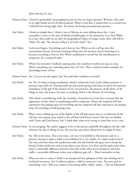about this but it's true.

|             | Kirsten Oates: I found it particularly encouraging because we lost our dog in January, Winston, who used<br>to sit right beside me for all these podcasts. When I read that, I realized how in a certain way,<br>I still feel him sitting right there. You know, his loving unconditional presence.                                                                                                                                                                                                                                                                                          |
|-------------|----------------------------------------------------------------------------------------------------------------------------------------------------------------------------------------------------------------------------------------------------------------------------------------------------------------------------------------------------------------------------------------------------------------------------------------------------------------------------------------------------------------------------------------------------------------------------------------------|
| Jim Finley: | I think an insight here, I think it was in Merton we were talking about this, I can't<br>remember, is once in the class of Medieval philosophy, at the monastery, or as Dan Walsh<br>in a class, that could we say after the geographical Tokyo no longer exists, there will still be<br>Tokyo. He said, "Yes, because Tokyo is in God's mind." See?                                                                                                                                                                                                                                         |
| Jim Finley: | God never forgets. Everything real is forever. See? When we die, we'll go into this<br>conversation forever. Everyone listening will go into the moment they're listening to it,<br>because everything is forever. See? What's manifested is eternal but the manifestation is<br>temporary. It's a temporal order.                                                                                                                                                                                                                                                                           |
| Jim Finley: | What's the eternality? Endlessly passing away, the manifests would never pass us away.<br>There's something very consoling about that. It's true. That's a kind of maybe example of a<br>knowledge borne of love.                                                                                                                                                                                                                                                                                                                                                                            |
|             | Kirsten Oates: Yes. Can you say that again, Jim? You said what manifests is eternal?                                                                                                                                                                                                                                                                                                                                                                                                                                                                                                         |
| Jim Finley: | Yes. Yes. It's what is being manifested, which is ultimately God, God's infinite presence is<br>presence-ing itself, see? Pouring itself out and utterly giving itself away in and as the intimate<br>immediacy of the gift of the miracle of our very presence, the presence of all others, of all<br>things as trees, the stones, the stars, everything, which is the divinity of everything.                                                                                                                                                                                              |
| Jim Finley: | That which is manifesting itself, the eternality of ourselves in God's love is eternal. But the<br>appearance of that which is manifesting itself is temporary. There's the temporal self that<br>experiences the passing away of everything and the temporal self that experiences the passing<br>away of everything is itself passing away.                                                                                                                                                                                                                                                |
| Jim Finley: | What comes welling up out of the depths of the self that passes away is a realization of the<br>self that never passes away, which is the self that God forever loved. Our lives are hidden<br>with Christ and God forever. See? I think that's what we're trying to come here to in a way.                                                                                                                                                                                                                                                                                                  |
|             | Kirsten Oates: So encouraging. The author suggests to be at this practice playfully throughout the day with<br>whatever the day is asking of you. Do you have any advice about how we might do that?                                                                                                                                                                                                                                                                                                                                                                                         |
| Jim Finley: | Yes. This is my sense. This is my sense. Let's say we're faithful to this practice and it's a<br>practice, because it takes a while to be stabilized in it, it's a habit, it's a daily rendezvous of<br>this way, and then when the rendezvous ends, you ask God for the grace not to break the<br>thread of that rendezvous and you go about your chores, so at first, and for quite some time,<br>there's a noticeable difference between what this is like when you're sitting in rush hour<br>traffic, a noticeable difference when your cellphone goes off  There's surreality to that. |
| Jim Finley: | What you start to notice I think is an unexpected way, glimpses of this start shining out in<br>incidental moments. See? A sideways glance, a shift in someone's voice. You turn and see<br>something, a tree. Then you realize it's becoming subtle, subtle, subtle  Like an habituated                                                                                                                                                                                                                                                                                                     |